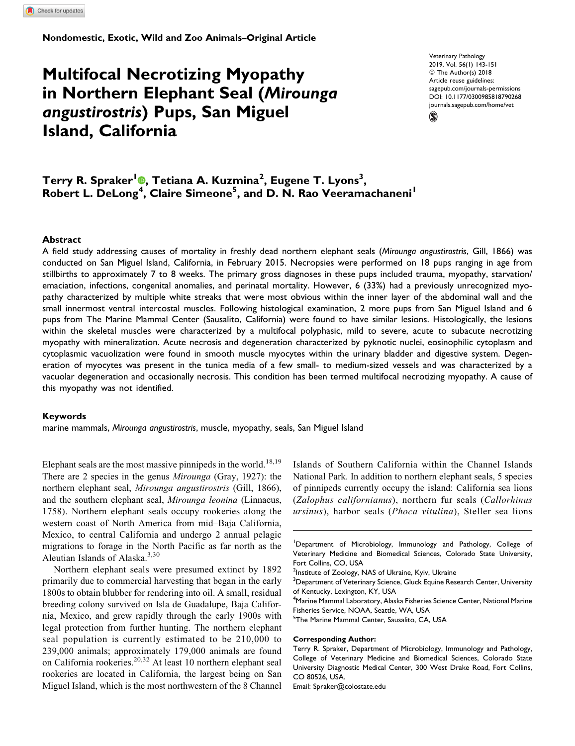Nondomestic, Exotic, Wild and Zoo Animals–Original Article

# Multifocal Necrotizing Myopathy in Northern Elephant Seal (Mirounga angustirostris) Pups, San Miguel Island, California

Veterinary Pathology 2019, Vol. 56(1) 143-151 © The Author(s) 2018 Article reuse guidelines: [sagepub.com/journals-permissions](https://sagepub.com/journals-permissions) [DOI: 10.1177/0300985818790268](https://doi.org/10.1177/0300985818790268) [journals.sagepub.com/home/vet](http://journals.sagepub.com/home/vet)



Terry R. Spraker'®[,](http://orcid.org/0000-0002-6717-2937) Tetiana A. Kuzmina<sup>2</sup>, Eugene T. Lyons<sup>3</sup>, Robert L. DeLong<sup>4</sup>, Claire Simeone<sup>5</sup>, and D. N. Rao Veeramachaneni<sup>1</sup>

## **Abstract**

A field study addressing causes of mortality in freshly dead northern elephant seals (Mirounga angustirostris, Gill, 1866) was conducted on San Miguel Island, California, in February 2015. Necropsies were performed on 18 pups ranging in age from stillbirths to approximately 7 to 8 weeks. The primary gross diagnoses in these pups included trauma, myopathy, starvation/ emaciation, infections, congenital anomalies, and perinatal mortality. However, 6 (33%) had a previously unrecognized myopathy characterized by multiple white streaks that were most obvious within the inner layer of the abdominal wall and the small innermost ventral intercostal muscles. Following histological examination, 2 more pups from San Miguel Island and 6 pups from The Marine Mammal Center (Sausalito, California) were found to have similar lesions. Histologically, the lesions within the skeletal muscles were characterized by a multifocal polyphasic, mild to severe, acute to subacute necrotizing myopathy with mineralization. Acute necrosis and degeneration characterized by pyknotic nuclei, eosinophilic cytoplasm and cytoplasmic vacuolization were found in smooth muscle myocytes within the urinary bladder and digestive system. Degeneration of myocytes was present in the tunica media of a few small- to medium-sized vessels and was characterized by a vacuolar degeneration and occasionally necrosis. This condition has been termed multifocal necrotizing myopathy. A cause of this myopathy was not identified.

### Keywords

marine mammals, Mirounga angustirostris, muscle, myopathy, seals, San Miguel Island

Elephant seals are the most massive pinnipeds in the world.<sup>18,19</sup> There are 2 species in the genus Mirounga (Gray, 1927): the northern elephant seal, Mirounga angustirostris (Gill, 1866), and the southern elephant seal, Mirounga leonina (Linnaeus, 1758). Northern elephant seals occupy rookeries along the western coast of North America from mid–Baja California, Mexico, to central California and undergo 2 annual pelagic migrations to forage in the North Pacific as far north as the Aleutian Islands of Alaska.<sup>3,30</sup>

Northern elephant seals were presumed extinct by 1892 primarily due to commercial harvesting that began in the early 1800s to obtain blubber for rendering into oil. A small, residual breeding colony survived on Isla de Guadalupe, Baja California, Mexico, and grew rapidly through the early 1900s with legal protection from further hunting. The northern elephant seal population is currently estimated to be 210,000 to 239,000 animals; approximately 179,000 animals are found on California rookeries.<sup>20,32</sup> At least 10 northern elephant seal rookeries are located in California, the largest being on San Miguel Island, which is the most northwestern of the 8 Channel Islands of Southern California within the Channel Islands National Park. In addition to northern elephant seals, 5 species of pinnipeds currently occupy the island: California sea lions (Zalophus californianus), northern fur seals (Callorhinus ursinus), harbor seals (Phoca vitulina), Steller sea lions

4 Marine Mammal Laboratory, Alaska Fisheries Science Center, National Marine Fisheries Service, NOAA, Seattle, WA, USA

#### Corresponding Author:

Email: [Spraker@colostate.edu](mailto:Spraker@colostate.edu)

<sup>&</sup>lt;sup>1</sup>Department of Microbiology, Immunology and Pathology, College of Veterinary Medicine and Biomedical Sciences, Colorado State University, Fort Collins, CO, USA

<sup>&</sup>lt;sup>2</sup>Institute of Zoology, NAS of Ukraine, Kyiv, Ukraine

<sup>&</sup>lt;sup>3</sup>Department of Veterinary Science, Gluck Equine Research Center, University of Kentucky, Lexington, KY, USA

<sup>&</sup>lt;sup>5</sup>The Marine Mammal Center, Sausalito, CA, USA

Terry R. Spraker, Department of Microbiology, Immunology and Pathology, College of Veterinary Medicine and Biomedical Sciences, Colorado State University Diagnostic Medical Center, 300 West Drake Road, Fort Collins, CO 80526, USA.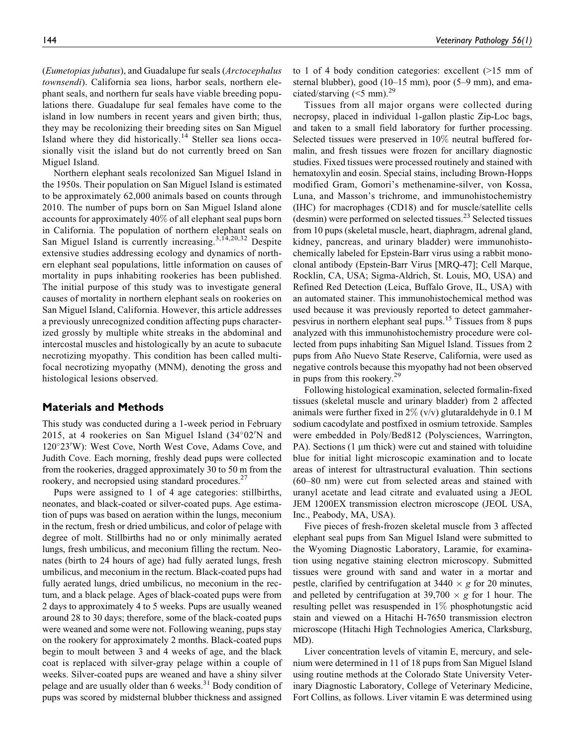(Eumetopias jubatus), and Guadalupe fur seals (Arctocephalus townsendi). California sea lions, harbor seals, northern elephant seals, and northern fur seals have viable breeding populations there. Guadalupe fur seal females have come to the island in low numbers in recent years and given birth; thus, they may be recolonizing their breeding sites on San Miguel Island where they did historically.<sup>14</sup> Steller sea lions occasionally visit the island but do not currently breed on San Miguel Island.

Northern elephant seals recolonized San Miguel Island in the 1950s. Their population on San Miguel Island is estimated to be approximately 62,000 animals based on counts through 2010. The number of pups born on San Miguel Island alone accounts for approximately 40% of all elephant seal pups born in California. The population of northern elephant seals on San Miguel Island is currently increasing.<sup>3,14,20,32</sup> Despite extensive studies addressing ecology and dynamics of northern elephant seal populations, little information on causes of mortality in pups inhabiting rookeries has been published. The initial purpose of this study was to investigate general causes of mortality in northern elephant seals on rookeries on San Miguel Island, California. However, this article addresses a previously unrecognized condition affecting pups characterized grossly by multiple white streaks in the abdominal and intercostal muscles and histologically by an acute to subacute necrotizing myopathy. This condition has been called multifocal necrotizing myopathy (MNM), denoting the gross and histological lesions observed.

# Materials and Methods

This study was conducted during a 1-week period in February 2015, at 4 rookeries on San Miguel Island (34°02'N and 120°23'W): West Cove, North West Cove, Adams Cove, and Judith Cove. Each morning, freshly dead pups were collected from the rookeries, dragged approximately 30 to 50 m from the rookery, and necropsied using standard procedures.<sup>27</sup>

Pups were assigned to 1 of 4 age categories: stillbirths, neonates, and black-coated or silver-coated pups. Age estimation of pups was based on aeration within the lungs, meconium in the rectum, fresh or dried umbilicus, and color of pelage with degree of molt. Stillbirths had no or only minimally aerated lungs, fresh umbilicus, and meconium filling the rectum. Neonates (birth to 24 hours of age) had fully aerated lungs, fresh umbilicus, and meconium in the rectum. Black-coated pups had fully aerated lungs, dried umbilicus, no meconium in the rectum, and a black pelage. Ages of black-coated pups were from 2 days to approximately 4 to 5 weeks. Pups are usually weaned around 28 to 30 days; therefore, some of the black-coated pups were weaned and some were not. Following weaning, pups stay on the rookery for approximately 2 months. Black-coated pups begin to moult between 3 and 4 weeks of age, and the black coat is replaced with silver-gray pelage within a couple of weeks. Silver-coated pups are weaned and have a shiny silver pelage and are usually older than 6 weeks.<sup>31</sup> Body condition of pups was scored by midsternal blubber thickness and assigned

to 1 of 4 body condition categories: excellent (>15 mm of sternal blubber), good (10–15 mm), poor (5–9 mm), and emaciated/starving  $(<5$  mm).<sup>29</sup>

Tissues from all major organs were collected during necropsy, placed in individual 1-gallon plastic Zip-Loc bags, and taken to a small field laboratory for further processing. Selected tissues were preserved in 10% neutral buffered formalin, and fresh tissues were frozen for ancillary diagnostic studies. Fixed tissues were processed routinely and stained with hematoxylin and eosin. Special stains, including Brown-Hopps modified Gram, Gomori's methenamine-silver, von Kossa, Luna, and Masson's trichrome, and immunohistochemistry (IHC) for macrophages (CD18) and for muscle/satellite cells (desmin) were performed on selected tissues.<sup>23</sup> Selected tissues from 10 pups (skeletal muscle, heart, diaphragm, adrenal gland, kidney, pancreas, and urinary bladder) were immunohistochemically labeled for Epstein-Barr virus using a rabbit monoclonal antibody (Epstein-Barr Virus [MRQ-47]; Cell Marque, Rocklin, CA, USA; Sigma-Aldrich, St. Louis, MO, USA) and Refined Red Detection (Leica, Buffalo Grove, IL, USA) with an automated stainer. This immunohistochemical method was used because it was previously reported to detect gammaherpesvirus in northern elephant seal pups.<sup>15</sup> Tissues from 8 pups analyzed with this immunohistochemistry procedure were collected from pups inhabiting San Miguel Island. Tissues from 2 pups from Año Nuevo State Reserve, California, were used as negative controls because this myopathy had not been observed in pups from this rookery.<sup>29</sup>

Following histological examination, selected formalin-fixed tissues (skeletal muscle and urinary bladder) from 2 affected animals were further fixed in  $2\%$  (v/v) glutaraldehyde in 0.1 M sodium cacodylate and postfixed in osmium tetroxide. Samples were embedded in Poly/Bed812 (Polysciences, Warrington, PA). Sections (1 µm thick) were cut and stained with toluidine blue for initial light microscopic examination and to locate areas of interest for ultrastructural evaluation. Thin sections (60–80 nm) were cut from selected areas and stained with uranyl acetate and lead citrate and evaluated using a JEOL JEM 1200EX transmission electron microscope (JEOL USA, Inc., Peabody, MA, USA).

Five pieces of fresh-frozen skeletal muscle from 3 affected elephant seal pups from San Miguel Island were submitted to the Wyoming Diagnostic Laboratory, Laramie, for examination using negative staining electron microscopy. Submitted tissues were ground with sand and water in a mortar and pestle, clarified by centrifugation at  $3440 \times g$  for 20 minutes, and pelleted by centrifugation at  $39,700 \times g$  for 1 hour. The resulting pellet was resuspended in 1% phosphotungstic acid stain and viewed on a Hitachi H-7650 transmission electron microscope (Hitachi High Technologies America, Clarksburg, MD).

Liver concentration levels of vitamin E, mercury, and selenium were determined in 11 of 18 pups from San Miguel Island using routine methods at the Colorado State University Veterinary Diagnostic Laboratory, College of Veterinary Medicine, Fort Collins, as follows. Liver vitamin E was determined using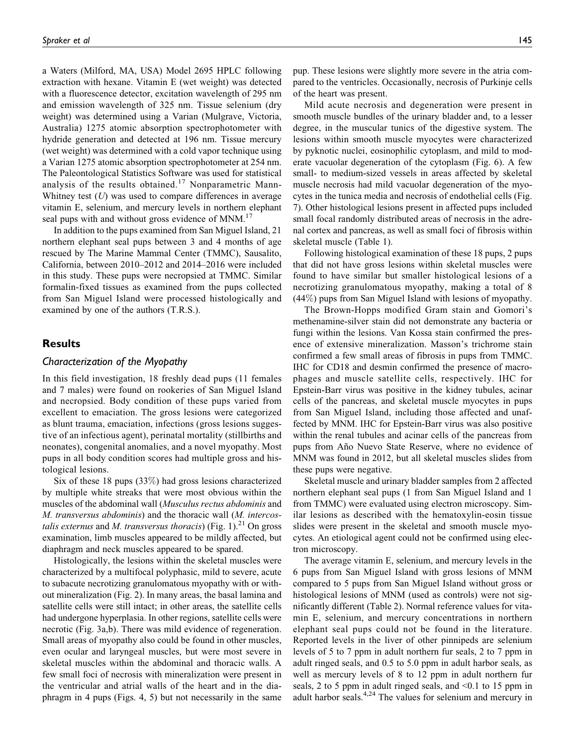a Waters (Milford, MA, USA) Model 2695 HPLC following extraction with hexane. Vitamin E (wet weight) was detected with a fluorescence detector, excitation wavelength of 295 nm and emission wavelength of 325 nm. Tissue selenium (dry weight) was determined using a Varian (Mulgrave, Victoria, Australia) 1275 atomic absorption spectrophotometer with hydride generation and detected at 196 nm. Tissue mercury (wet weight) was determined with a cold vapor technique using a Varian 1275 atomic absorption spectrophotometer at 254 nm. The Paleontological Statistics Software was used for statistical analysis of the results obtained.<sup>17</sup> Nonparametric Mann-Whitney test  $(U)$  was used to compare differences in average vitamin E, selenium, and mercury levels in northern elephant seal pups with and without gross evidence of MNM.<sup>17</sup>

In addition to the pups examined from San Miguel Island, 21 northern elephant seal pups between 3 and 4 months of age rescued by The Marine Mammal Center (TMMC), Sausalito, California, between 2010–2012 and 2014–2016 were included in this study. These pups were necropsied at TMMC. Similar formalin-fixed tissues as examined from the pups collected from San Miguel Island were processed histologically and examined by one of the authors (T.R.S.).

# **Results**

## Characterization of the Myopathy

In this field investigation, 18 freshly dead pups (11 females and 7 males) were found on rookeries of San Miguel Island and necropsied. Body condition of these pups varied from excellent to emaciation. The gross lesions were categorized as blunt trauma, emaciation, infections (gross lesions suggestive of an infectious agent), perinatal mortality (stillbirths and neonates), congenital anomalies, and a novel myopathy. Most pups in all body condition scores had multiple gross and histological lesions.

Six of these 18 pups (33%) had gross lesions characterized by multiple white streaks that were most obvious within the muscles of the abdominal wall (Musculus rectus abdominis and M. transversus abdominis) and the thoracic wall (M. intercostalis externus and M. transversus thoracis) (Fig. 1).<sup>21</sup> On gross examination, limb muscles appeared to be mildly affected, but diaphragm and neck muscles appeared to be spared.

Histologically, the lesions within the skeletal muscles were characterized by a multifocal polyphasic, mild to severe, acute to subacute necrotizing granulomatous myopathy with or without mineralization (Fig. 2). In many areas, the basal lamina and satellite cells were still intact; in other areas, the satellite cells had undergone hyperplasia. In other regions, satellite cells were necrotic (Fig. 3a,b). There was mild evidence of regeneration. Small areas of myopathy also could be found in other muscles, even ocular and laryngeal muscles, but were most severe in skeletal muscles within the abdominal and thoracic walls. A few small foci of necrosis with mineralization were present in the ventricular and atrial walls of the heart and in the diaphragm in 4 pups (Figs. 4, 5) but not necessarily in the same

pup. These lesions were slightly more severe in the atria compared to the ventricles. Occasionally, necrosis of Purkinje cells of the heart was present.

Mild acute necrosis and degeneration were present in smooth muscle bundles of the urinary bladder and, to a lesser degree, in the muscular tunics of the digestive system. The lesions within smooth muscle myocytes were characterized by pyknotic nuclei, eosinophilic cytoplasm, and mild to moderate vacuolar degeneration of the cytoplasm (Fig. 6). A few small- to medium-sized vessels in areas affected by skeletal muscle necrosis had mild vacuolar degeneration of the myocytes in the tunica media and necrosis of endothelial cells (Fig. 7). Other histological lesions present in affected pups included small focal randomly distributed areas of necrosis in the adrenal cortex and pancreas, as well as small foci of fibrosis within skeletal muscle (Table 1).

Following histological examination of these 18 pups, 2 pups that did not have gross lesions within skeletal muscles were found to have similar but smaller histological lesions of a necrotizing granulomatous myopathy, making a total of 8 (44%) pups from San Miguel Island with lesions of myopathy.

The Brown-Hopps modified Gram stain and Gomori's methenamine-silver stain did not demonstrate any bacteria or fungi within the lesions. Van Kossa stain confirmed the presence of extensive mineralization. Masson's trichrome stain confirmed a few small areas of fibrosis in pups from TMMC. IHC for CD18 and desmin confirmed the presence of macrophages and muscle satellite cells, respectively. IHC for Epstein-Barr virus was positive in the kidney tubules, acinar cells of the pancreas, and skeletal muscle myocytes in pups from San Miguel Island, including those affected and unaffected by MNM. IHC for Epstein-Barr virus was also positive within the renal tubules and acinar cells of the pancreas from pups from Año Nuevo State Reserve, where no evidence of MNM was found in 2012, but all skeletal muscles slides from these pups were negative.

Skeletal muscle and urinary bladder samples from 2 affected northern elephant seal pups (1 from San Miguel Island and 1 from TMMC) were evaluated using electron microscopy. Similar lesions as described with the hematoxylin-eosin tissue slides were present in the skeletal and smooth muscle myocytes. An etiological agent could not be confirmed using electron microscopy.

The average vitamin E, selenium, and mercury levels in the 6 pups from San Miguel Island with gross lesions of MNM compared to 5 pups from San Miguel Island without gross or histological lesions of MNM (used as controls) were not significantly different (Table 2). Normal reference values for vitamin E, selenium, and mercury concentrations in northern elephant seal pups could not be found in the literature. Reported levels in the liver of other pinnipeds are selenium levels of 5 to 7 ppm in adult northern fur seals, 2 to 7 ppm in adult ringed seals, and 0.5 to 5.0 ppm in adult harbor seals, as well as mercury levels of 8 to 12 ppm in adult northern fur seals, 2 to 5 ppm in adult ringed seals, and <0.1 to 15 ppm in adult harbor seals.<sup>4,24</sup> The values for selenium and mercury in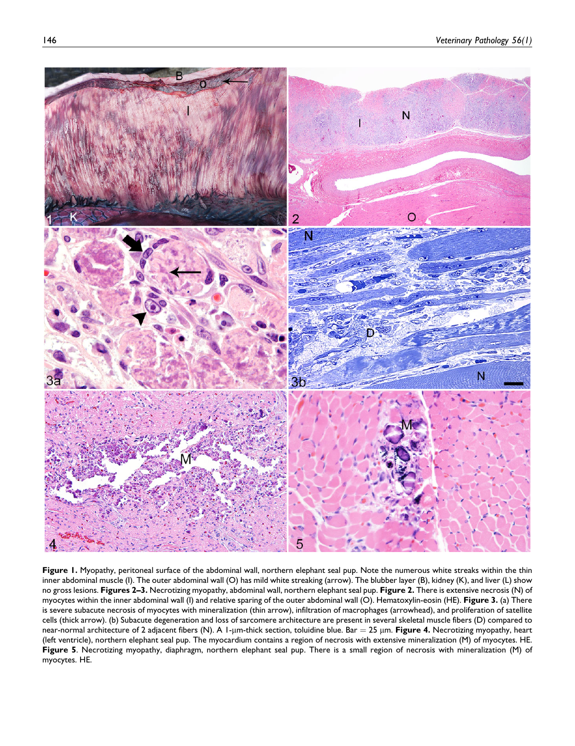

Figure 1. Myopathy, peritoneal surface of the abdominal wall, northern elephant seal pup. Note the numerous white streaks within the thin inner abdominal muscle (I). The outer abdominal wall (O) has mild white streaking (arrow). The blubber layer (B), kidney (K), and liver (L) show no gross lesions. Figures 2-3. Necrotizing myopathy, abdominal wall, northern elephant seal pup. Figure 2. There is extensive necrosis (N) of myocytes within the inner abdominal wall (I) and relative sparing of the outer abdominal wall (O). Hematoxylin-eosin (HE). Figure 3. (a) There is severe subacute necrosis of myocytes with mineralization (thin arrow), infiltration of macrophages (arrowhead), and proliferation of satellite cells (thick arrow). (b) Subacute degeneration and loss of sarcomere architecture are present in several skeletal muscle fibers (D) compared to near-normal architecture of 2 adjacent fibers (N). A 1-µm-thick section, toluidine blue. Bar = 25 µm. Figure 4. Necrotizing myopathy, heart (left ventricle), northern elephant seal pup. The myocardium contains a region of necrosis with extensive mineralization (M) of myocytes. HE. Figure 5. Necrotizing myopathy, diaphragm, northern elephant seal pup. There is a small region of necrosis with mineralization (M) of myocytes. HE.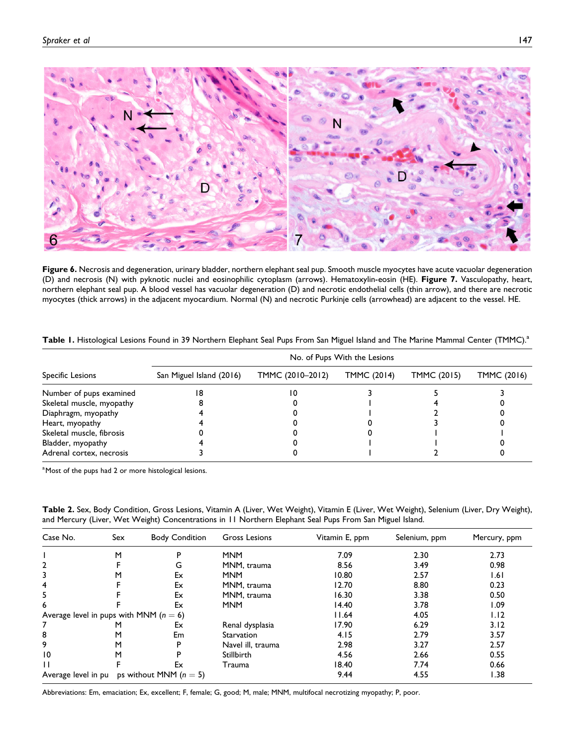

Figure 6. Necrosis and degeneration, urinary bladder, northern elephant seal pup. Smooth muscle myocytes have acute vacuolar degeneration (D) and necrosis (N) with pyknotic nuclei and eosinophilic cytoplasm (arrows). Hematoxylin-eosin (HE). Figure 7. Vasculopathy, heart, northern elephant seal pup. A blood vessel has vacuolar degeneration (D) and necrotic endothelial cells (thin arrow), and there are necrotic myocytes (thick arrows) in the adjacent myocardium. Normal (N) and necrotic Purkinje cells (arrowhead) are adjacent to the vessel. HE.

|                           | No. of Pups With the Lesions |                  |             |             |             |  |  |
|---------------------------|------------------------------|------------------|-------------|-------------|-------------|--|--|
| Specific Lesions          | San Miguel Island (2016)     | TMMC (2010-2012) | TMMC (2014) | TMMC (2015) | TMMC (2016) |  |  |
| Number of pups examined   |                              | ١O               |             |             |             |  |  |
| Skeletal muscle, myopathy |                              |                  |             |             |             |  |  |
| Diaphragm, myopathy       |                              |                  |             |             |             |  |  |
| Heart, myopathy           |                              |                  |             |             |             |  |  |
| Skeletal muscle, fibrosis |                              |                  |             |             |             |  |  |
| Bladder, myopathy         |                              |                  |             |             |             |  |  |
| Adrenal cortex, necrosis  |                              |                  |             |             |             |  |  |

Table 1. Histological Lesions Found in 39 Northern Elephant Seal Pups From San Miguel Island and The Marine Mammal Center (TMMC).<sup>a</sup>

<sup>a</sup> Most of the pups had 2 or more histological lesions.

Table 2. Sex, Body Condition, Gross Lesions, Vitamin A (Liver, Wet Weight), Vitamin E (Liver, Wet Weight), Selenium (Liver, Dry Weight), and Mercury (Liver, Wet Weight) Concentrations in 11 Northern Elephant Seal Pups From San Miguel Island.

| Case No.                                        | Sex | <b>Body Condition</b> | Gross Lesions     | Vitamin E, ppm | Selenium, ppm | Mercury, ppm |
|-------------------------------------------------|-----|-----------------------|-------------------|----------------|---------------|--------------|
|                                                 | М   | P                     | <b>MNM</b>        | 7.09           | 2.30          | 2.73         |
| $\mathbf{2}$                                    |     | G                     | MNM, trauma       | 8.56           | 3.49          | 0.98         |
| 3                                               | м   | Ex                    | <b>MNM</b>        | 10.80          | 2.57          | 1.61         |
| 4                                               |     | Ex                    | MNM, trauma       | 12.70          | 8.80          | 0.23         |
| 5                                               |     | Ex                    | MNM, trauma       | 16.30          | 3.38          | 0.50         |
| 6                                               |     | Ex                    | <b>MNM</b>        | 14.40          | 3.78          | 1.09         |
| Average level in pups with MNM ( $n = 6$ )      |     |                       |                   | 11.64          | 4.05          | 1.12         |
|                                                 | м   | Ex                    | Renal dysplasia   | 17.90          | 6.29          | 3.12         |
| 8                                               | м   | Em                    | Starvation        | 4.15           | 2.79          | 3.57         |
| 9                                               | м   | P                     | Navel ill, trauma | 2.98           | 3.27          | 2.57         |
| 10                                              | М   | P                     | Stillbirth        | 4.56           | 2.66          | 0.55         |
|                                                 |     | Ex                    | Trauma            | 18.40          | 7.74          | 0.66         |
| ps without MNM $(n = 5)$<br>Average level in pu |     |                       | 9.44              | 4.55           | 1.38          |              |

Abbreviations: Em, emaciation; Ex, excellent; F, female; G, good; M, male; MNM, multifocal necrotizing myopathy; P, poor.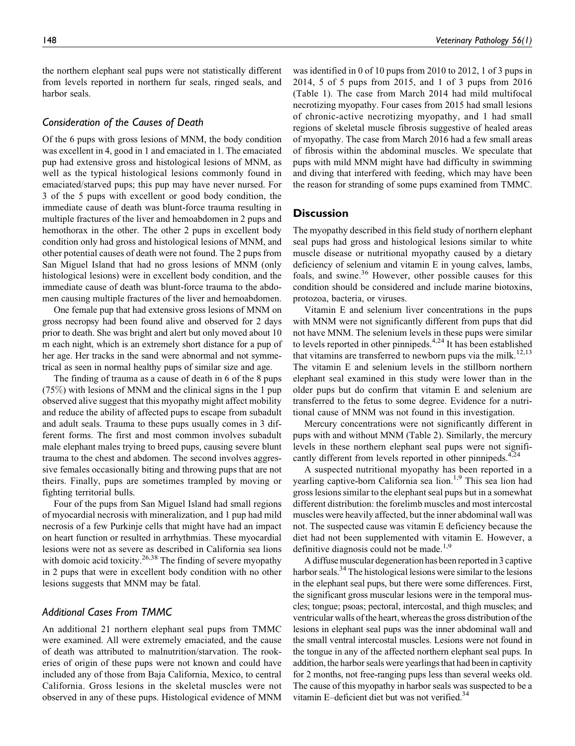the northern elephant seal pups were not statistically different from levels reported in northern fur seals, ringed seals, and harbor seals.

## Consideration of the Causes of Death

Of the 6 pups with gross lesions of MNM, the body condition was excellent in 4, good in 1 and emaciated in 1. The emaciated pup had extensive gross and histological lesions of MNM, as well as the typical histological lesions commonly found in emaciated/starved pups; this pup may have never nursed. For 3 of the 5 pups with excellent or good body condition, the immediate cause of death was blunt-force trauma resulting in multiple fractures of the liver and hemoabdomen in 2 pups and hemothorax in the other. The other 2 pups in excellent body condition only had gross and histological lesions of MNM, and other potential causes of death were not found. The 2 pups from San Miguel Island that had no gross lesions of MNM (only histological lesions) were in excellent body condition, and the immediate cause of death was blunt-force trauma to the abdomen causing multiple fractures of the liver and hemoabdomen.

One female pup that had extensive gross lesions of MNM on gross necropsy had been found alive and observed for 2 days prior to death. She was bright and alert but only moved about 10 m each night, which is an extremely short distance for a pup of her age. Her tracks in the sand were abnormal and not symmetrical as seen in normal healthy pups of similar size and age.

The finding of trauma as a cause of death in 6 of the 8 pups (75%) with lesions of MNM and the clinical signs in the 1 pup observed alive suggest that this myopathy might affect mobility and reduce the ability of affected pups to escape from subadult and adult seals. Trauma to these pups usually comes in 3 different forms. The first and most common involves subadult male elephant males trying to breed pups, causing severe blunt trauma to the chest and abdomen. The second involves aggressive females occasionally biting and throwing pups that are not theirs. Finally, pups are sometimes trampled by moving or fighting territorial bulls.

Four of the pups from San Miguel Island had small regions of myocardial necrosis with mineralization, and 1 pup had mild necrosis of a few Purkinje cells that might have had an impact on heart function or resulted in arrhythmias. These myocardial lesions were not as severe as described in California sea lions with domoic acid toxicity.<sup>26,38</sup> The finding of severe myopathy in 2 pups that were in excellent body condition with no other lesions suggests that MNM may be fatal.

# Additional Cases From TMMC

An additional 21 northern elephant seal pups from TMMC were examined. All were extremely emaciated, and the cause of death was attributed to malnutrition/starvation. The rookeries of origin of these pups were not known and could have included any of those from Baja California, Mexico, to central California. Gross lesions in the skeletal muscles were not observed in any of these pups. Histological evidence of MNM

was identified in 0 of 10 pups from 2010 to 2012, 1 of 3 pups in 2014, 5 of 5 pups from 2015, and 1 of 3 pups from 2016 (Table 1). The case from March 2014 had mild multifocal necrotizing myopathy. Four cases from 2015 had small lesions of chronic-active necrotizing myopathy, and 1 had small regions of skeletal muscle fibrosis suggestive of healed areas of myopathy. The case from March 2016 had a few small areas of fibrosis within the abdominal muscles. We speculate that pups with mild MNM might have had difficulty in swimming and diving that interfered with feeding, which may have been the reason for stranding of some pups examined from TMMC.

# **Discussion**

The myopathy described in this field study of northern elephant seal pups had gross and histological lesions similar to white muscle disease or nutritional myopathy caused by a dietary deficiency of selenium and vitamin E in young calves, lambs, foals, and swine.<sup>36</sup> However, other possible causes for this condition should be considered and include marine biotoxins, protozoa, bacteria, or viruses.

Vitamin E and selenium liver concentrations in the pups with MNM were not significantly different from pups that did not have MNM. The selenium levels in these pups were similar to levels reported in other pinnipeds. $4,24$  It has been established that vitamins are transferred to newborn pups via the milk.<sup>12,13</sup> The vitamin E and selenium levels in the stillborn northern elephant seal examined in this study were lower than in the older pups but do confirm that vitamin E and selenium are transferred to the fetus to some degree. Evidence for a nutritional cause of MNM was not found in this investigation.

Mercury concentrations were not significantly different in pups with and without MNM (Table 2). Similarly, the mercury levels in these northern elephant seal pups were not significantly different from levels reported in other pinnipeds.<sup>4,24</sup>

A suspected nutritional myopathy has been reported in a yearling captive-born California sea lion.<sup>1,9</sup> This sea lion had gross lesions similar to the elephant seal pups but in a somewhat different distribution: the forelimb muscles and most intercostal muscles were heavily affected, but the inner abdominal wall was not. The suspected cause was vitamin E deficiency because the diet had not been supplemented with vitamin E. However, a definitive diagnosis could not be made.<sup>1,9</sup>

A diffuse muscular degeneration has been reported in 3 captive harbor seals.<sup>34</sup> The histological lesions were similar to the lesions in the elephant seal pups, but there were some differences. First, the significant gross muscular lesions were in the temporal muscles; tongue; psoas; pectoral, intercostal, and thigh muscles; and ventricular walls of the heart, whereas the gross distribution of the lesions in elephant seal pups was the inner abdominal wall and the small ventral intercostal muscles. Lesions were not found in the tongue in any of the affected northern elephant seal pups. In addition, the harbor seals were yearlings that had been in captivity for 2 months, not free-ranging pups less than several weeks old. The cause of this myopathy in harbor seals was suspected to be a vitamin E-deficient diet but was not verified.<sup>34</sup>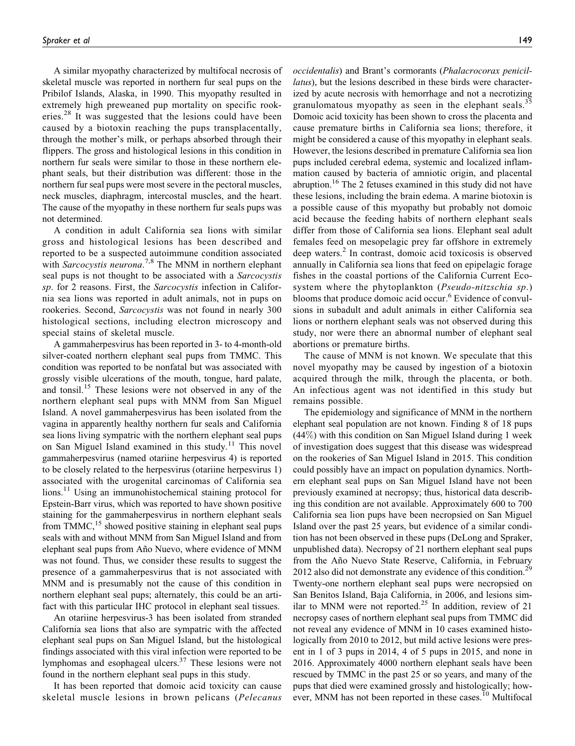A similar myopathy characterized by multifocal necrosis of skeletal muscle was reported in northern fur seal pups on the Pribilof Islands, Alaska, in 1990. This myopathy resulted in extremely high preweaned pup mortality on specific rookeries.<sup>28</sup> It was suggested that the lesions could have been caused by a biotoxin reaching the pups transplacentally, through the mother's milk, or perhaps absorbed through their flippers. The gross and histological lesions in this condition in northern fur seals were similar to those in these northern elephant seals, but their distribution was different: those in the northern fur seal pups were most severe in the pectoral muscles, neck muscles, diaphragm, intercostal muscles, and the heart. The cause of the myopathy in these northern fur seals pups was not determined.

A condition in adult California sea lions with similar gross and histological lesions has been described and reported to be a suspected autoimmune condition associated with Sarcocystis neurona.<sup>7,8</sup> The MNM in northern elephant seal pups is not thought to be associated with a Sarcocystis sp. for 2 reasons. First, the Sarcocystis infection in California sea lions was reported in adult animals, not in pups on rookeries. Second, Sarcocystis was not found in nearly 300 histological sections, including electron microscopy and special stains of skeletal muscle.

A gammaherpesvirus has been reported in 3- to 4-month-old silver-coated northern elephant seal pups from TMMC. This condition was reported to be nonfatal but was associated with grossly visible ulcerations of the mouth, tongue, hard palate, and tonsil.<sup>15</sup> These lesions were not observed in any of the northern elephant seal pups with MNM from San Miguel Island. A novel gammaherpesvirus has been isolated from the vagina in apparently healthy northern fur seals and California sea lions living sympatric with the northern elephant seal pups on San Miguel Island examined in this study.<sup>11</sup> This novel gammaherpesvirus (named otariine herpesvirus 4) is reported to be closely related to the herpesvirus (otariine herpesvirus 1) associated with the urogenital carcinomas of California sea lions.<sup>11</sup> Using an immunohistochemical staining protocol for Epstein-Barr virus, which was reported to have shown positive staining for the gammaherpesvirus in northern elephant seals from TMMC,<sup>15</sup> showed positive staining in elephant seal pups seals with and without MNM from San Miguel Island and from elephant seal pups from Año Nuevo, where evidence of MNM was not found. Thus, we consider these results to suggest the presence of a gammaherpesvirus that is not associated with MNM and is presumably not the cause of this condition in northern elephant seal pups; alternately, this could be an artifact with this particular IHC protocol in elephant seal tissues.

An otariine herpesvirus-3 has been isolated from stranded California sea lions that also are sympatric with the affected elephant seal pups on San Miguel Island, but the histological findings associated with this viral infection were reported to be lymphomas and esophageal ulcers.<sup>37</sup> These lesions were not found in the northern elephant seal pups in this study.

It has been reported that domoic acid toxicity can cause skeletal muscle lesions in brown pelicans (Pelecanus

occidentalis) and Brant's cormorants (Phalacrocorax penicillatus), but the lesions described in these birds were characterized by acute necrosis with hemorrhage and not a necrotizing granulomatous myopathy as seen in the elephant seals.<sup>35</sup> Domoic acid toxicity has been shown to cross the placenta and cause premature births in California sea lions; therefore, it might be considered a cause of this myopathy in elephant seals. However, the lesions described in premature California sea lion pups included cerebral edema, systemic and localized inflammation caused by bacteria of amniotic origin, and placental abruption.<sup>16</sup> The 2 fetuses examined in this study did not have these lesions, including the brain edema. A marine biotoxin is a possible cause of this myopathy but probably not domoic acid because the feeding habits of northern elephant seals differ from those of California sea lions. Elephant seal adult females feed on mesopelagic prey far offshore in extremely deep waters.<sup>2</sup> In contrast, domoic acid toxicosis is observed annually in California sea lions that feed on epipelagic forage fishes in the coastal portions of the California Current Ecosystem where the phytoplankton (Pseudo-nitzschia sp.) blooms that produce domoic acid occur.<sup>6</sup> Evidence of convulsions in subadult and adult animals in either California sea lions or northern elephant seals was not observed during this study, nor were there an abnormal number of elephant seal abortions or premature births.

The cause of MNM is not known. We speculate that this novel myopathy may be caused by ingestion of a biotoxin acquired through the milk, through the placenta, or both. An infectious agent was not identified in this study but remains possible.

The epidemiology and significance of MNM in the northern elephant seal population are not known. Finding 8 of 18 pups (44%) with this condition on San Miguel Island during 1 week of investigation does suggest that this disease was widespread on the rookeries of San Miguel Island in 2015. This condition could possibly have an impact on population dynamics. Northern elephant seal pups on San Miguel Island have not been previously examined at necropsy; thus, historical data describing this condition are not available. Approximately 600 to 700 California sea lion pups have been necropsied on San Miguel Island over the past 25 years, but evidence of a similar condition has not been observed in these pups (DeLong and Spraker, unpublished data). Necropsy of 21 northern elephant seal pups from the Año Nuevo State Reserve, California, in February 2012 also did not demonstrate any evidence of this condition.<sup>29</sup> Twenty-one northern elephant seal pups were necropsied on San Benitos Island, Baja California, in 2006, and lesions similar to MNM were not reported.<sup>25</sup> In addition, review of 21 necropsy cases of northern elephant seal pups from TMMC did not reveal any evidence of MNM in 10 cases examined histologically from 2010 to 2012, but mild active lesions were present in 1 of 3 pups in 2014, 4 of 5 pups in 2015, and none in 2016. Approximately 4000 northern elephant seals have been rescued by TMMC in the past 25 or so years, and many of the pups that died were examined grossly and histologically; however, MNM has not been reported in these cases.<sup>10</sup> Multifocal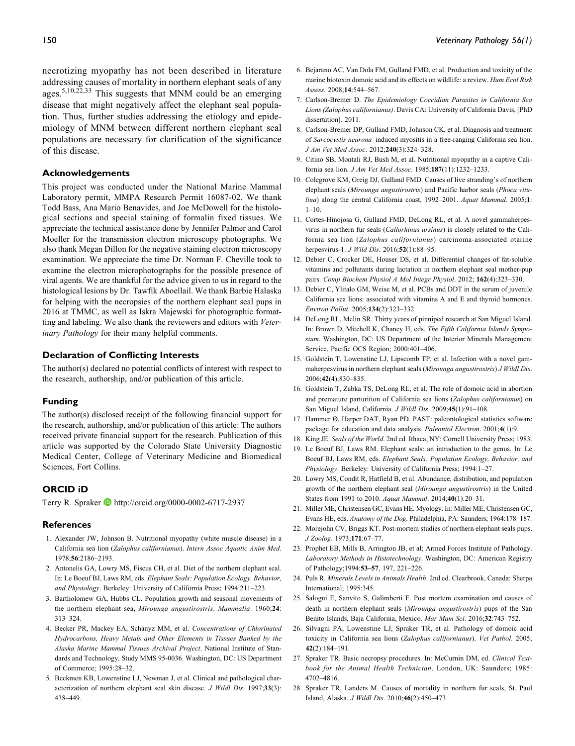necrotizing myopathy has not been described in literature addressing causes of mortality in northern elephant seals of any ages.<sup>5,10,22,33</sup> This suggests that MNM could be an emerging disease that might negatively affect the elephant seal population. Thus, further studies addressing the etiology and epidemiology of MNM between different northern elephant seal populations are necessary for clarification of the significance of this disease.

## Acknowledgements

This project was conducted under the National Marine Mammal Laboratory permit, MMPA Research Permit 16087-02. We thank Todd Bass, Ana Mario Benavides, and Joe McDowell for the histological sections and special staining of formalin fixed tissues. We appreciate the technical assistance done by Jennifer Palmer and Carol Moeller for the transmission electron microscopy photographs. We also thank Megan Dillon for the negative staining electron microscopy examination. We appreciate the time Dr. Norman F. Cheville took to examine the electron microphotographs for the possible presence of viral agents. We are thankful for the advice given to us in regard to the histological lesions by Dr. Tawfik Aboellail. We thank Barbie Halaska for helping with the necropsies of the northern elephant seal pups in 2016 at TMMC, as well as Iskra Majewski for photographic formatting and labeling. We also thank the reviewers and editors with Veterinary Pathology for their many helpful comments.

## Declaration of Conflicting Interests

The author(s) declared no potential conflicts of interest with respect to the research, authorship, and/or publication of this article.

## Funding

The author(s) disclosed receipt of the following financial support for the research, authorship, and/or publication of this article: The authors received private financial support for the research. Publication of this article was supported by the Colorado State University Diagnostic Medical Center, College of Veterinary Medicine and Biomedical Sciences, Fort Collins.

## ORCID iD

Terry R. Spraker **b** <http://orcid.org/0000-0002-6717-2937>

## **References**

- 1. Alexander JW, Johnson B. Nutritional myopathy (white muscle disease) in a California sea lion (Zalophus californianus). Intern Assoc Aquatic Anim Med. 1978;56:2186–2193.
- 2. Antonelis GA, Lowry MS, Fiscus CH, et al. Diet of the northern elephant seal. In: Le Boeuf BJ, Laws RM, eds. Elephant Seals: Population Ecology, Behavior, and Physiology. Berkeley: University of California Press; 1994:211–223.
- 3. Bartholomew GA, Hubbs CL. Population growth and seasonal movements of the northern elephant sea, Mirounga angustirostris. Mammalia. 1960;24: 313–324.
- 4. Becker PR, Mackey EA, Schanyz MM, et al. Concentrations of Chlorinated Hydrocarbons, Heavy Metals and Other Elements in Tissues Banked by the Alaska Marine Mammal Tissues Archival Project. National Institute of Standards and Technology, Study MMS 95-0036. Washington, DC: US Department of Commerce; 1995:28–32.
- 5. Beckmen KB, Lowenstine LJ, Newman J, et al. Clinical and pathological characterization of northern elephant seal skin disease. J Wildl Dis. 1997;33(3): 438–449.
- 6. Bejarano AC, Van Dola FM, Gulland FMD, et al. Production and toxicity of the marine biotoxin domoic acid and its effects on wildlife: a review. Hum Ecol Risk Assess. 2008;14:544–567.
- 7. Carlson-Bremer D. The Epidemiology Coccidian Parasites in California Sea Lions (Zalophus californianus). Davis CA: University of California Davis, [PhD dissertation]. 2011.
- 8. Carlson-Bremer DP, Gulland FMD, Johnson CK, et al. Diagnosis and treatment of Sarcocystis neurona–induced myositis in a free-ranging California sea lion. J Am Vet Med Assoc. 2012;240(3):324–328.
- 9. Citino SB, Montali RJ, Bush M, et al. Nutritional myopathy in a captive California sea lion. J Am Vet Med Assoc. 1985;187(11):1232–1233.
- 10. Colegrove KM, Greig DJ, Gulland FMD. Causes of live stranding's of northern elephant seals (Mirounga angustirostris) and Pacific harbor seals (Phoca vitulina) along the central California coast, 1992-2001. Aquat Mammal. 2005;1:  $1-10.$
- 11. Cortes-Hinojosa G, Gulland FMD, DeLong RL, et al. A novel gammaherpesvirus in northern fur seals (Callorhinus ursinus) is closely related to the California sea lion (Zalophus californianus) carcinoma-associated otarine herpesvirus-1. *J Wild Dis.* 2016;**52**(1):88–95.
- 12. Debier C, Crocker DE, Houser DS, et al. Differential changes of fat-soluble vitamins and pollutants during lactation in northern elephant seal mother-pup pairs. Comp Biochem Physiol A Mol Integr Physiol. 2012; 162(4):323–330.
- 13. Debier C, Ylitalo GM, Weise M, et al. PCBs and DDT in the serum of juvenile California sea lions: associated with vitamins A and E and thyroid hormones. Environ Pollut. 2005;134(2):323–332.
- 14. DeLong RL, Melin SR. Thirty years of pinniped research at San Miguel Island. In: Brown D, Mitchell K, Chaney H, eds. The Fifth California Islands Symposium. Washington, DC: US Department of the Interior Minerals Management Service, Pacific OCS Region; 2000:401–406.
- 15. Goldstein T, Lowenstine LJ, Lipscomb TP, et al. Infection with a novel gammaherpesvirus in northern elephant seals (Mirounga angustirostris) J Wildl Dis. 2006;42(4):830–835.
- 16. Goldstein T, Zabka TS, DeLong RL, et al. The role of domoic acid in abortion and premature parturition of California sea lions (Zalophus californianus) on San Miguel Island, California. J Wildl Dis. 2009;45(1):91–108.
- 17. Hammer Ø, Harper DAT, Ryan PD. PAST: paleontological statistics software package for education and data analysis. Paleontol Electron. 2001;4(1):9.
- 18. King JE. Seals of the World. 2nd ed. Ithaca, NY: Cornell University Press; 1983.
- 19. Le Boeuf BJ, Laws RM. Elephant seals: an introduction to the genus. In: Le Boeuf BJ, Laws RM, eds. Elephant Seals: Population Ecology, Behavior, and Physiology. Berkeley: University of California Press; 1994:1–27.
- 20. Lowry MS, Condit R, Hatfield B, et al. Abundance, distribution, and population growth of the northern elephant seal (Mirounga angustirostris) in the United States from 1991 to 2010. Aquat Mammal. 2014;40(1):20–31.
- 21. Miller ME, Christensen GC, Evans HE. Myology. In: Miller ME, Christensen GC, Evans HE, eds. Anatomy of the Dog. Philadelphia, PA: Saunders; 1964:178–187.
- 22. Morejohn CV, Briggs KT. Post-mortem studies of northern elephant seals pups. J Zoolog. 1973;171:67–77.
- 23. Prophet EB, Mills B, Arrington JB, et al; Armed Forces Institute of Pathology. Laboratory Methods in Histotechnology. Washington, DC: American Registry of Pathology;1994:53–57, 197, 221–226.
- 24. Puls R. Minerals Levels in Animals Health. 2nd ed. Clearbrook, Canada: Sherpa International; 1995:345.
- 25. Salogni E, Sanvito S, Galimberti F. Post mortem examination and causes of death in northern elephant seals (Mirounga angustirostris) pups of the San Benito Islands, Baja California, Mexico. Mar Mam Sci. 2016;32:743–752.
- 26. Silvagni PA, Lowenstine LJ, Spraker TR, et al. Pathology of domoic acid toxicity in California sea lions (Zalophus californianus). Vet Pathol. 2005; 42(2):184–191.
- 27. Spraker TR. Basic necropsy procedures. In: McCurnin DM, ed. Clinical Textbook for the Animal Health Technician. London, UK: Saunders; 1985: 4702–4816.
- 28. Spraker TR, Landers M. Causes of mortality in northern fur seals, St. Paul Island, Alaska. J Wildl Dis. 2010;46(2):450–473.